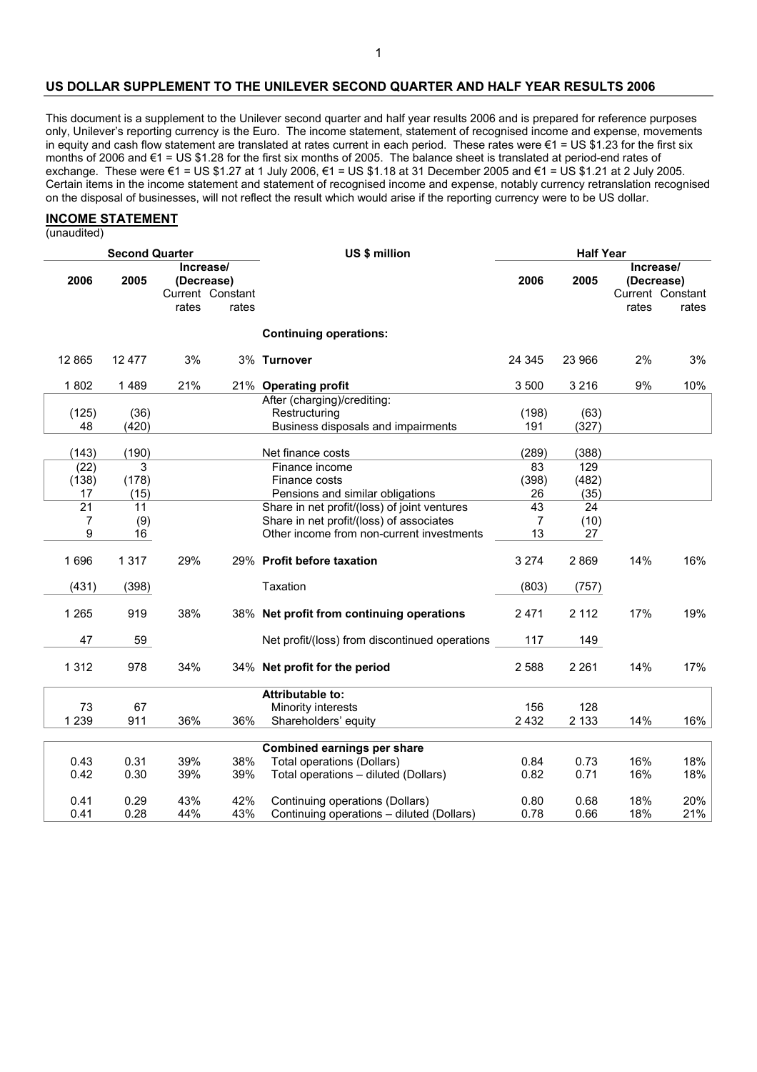#### **US DOLLAR SUPPLEMENT TO THE UNILEVER SECOND QUARTER AND HALF YEAR RESULTS 2006**

This document is a supplement to the Unilever second quarter and half year results 2006 and is prepared for reference purposes only, Unilever's reporting currency is the Euro. The income statement, statement of recognised income and expense, movements in equity and cash flow statement are translated at rates current in each period. These rates were €1 = US \$1.23 for the first six months of 2006 and €1 = US \$1.28 for the first six months of 2005. The balance sheet is translated at period-end rates of exchange. These were €1 = US \$1.27 at 1 July 2006, €1 = US \$1.18 at 31 December 2005 and €1 = US \$1.21 at 2 July 2005. Certain items in the income statement and statement of recognised income and expense, notably currency retranslation recognised on the disposal of businesses, will not reflect the result which would arise if the reporting currency were to be US dollar.

#### **INCOME STATEMENT**

(unaudited)

| <b>Second Quarter</b> |         |                                             | US \$ million | <b>Half Year</b>                               |                |                 |                                             |       |
|-----------------------|---------|---------------------------------------------|---------------|------------------------------------------------|----------------|-----------------|---------------------------------------------|-------|
| 2006                  | 2005    | Increase/<br>(Decrease)<br>Current Constant |               |                                                | 2006           | 2005            | Increase/<br>(Decrease)<br>Current Constant |       |
|                       |         | rates                                       | rates         |                                                |                |                 | rates                                       | rates |
|                       |         |                                             |               | <b>Continuing operations:</b>                  |                |                 |                                             |       |
| 12 8 65               | 12 477  | 3%                                          |               | 3% Turnover                                    | 24 3 45        | 23 966          | 2%                                          | 3%    |
| 1802                  | 1489    | 21%                                         |               | 21% Operating profit                           | 3 500          | 3 2 1 6         | 9%                                          | 10%   |
|                       |         |                                             |               | After (charging)/crediting:                    |                |                 |                                             |       |
| (125)                 | (36)    |                                             |               | Restructuring                                  | (198)          | (63)            |                                             |       |
| 48                    | (420)   |                                             |               | Business disposals and impairments             | 191            | (327)           |                                             |       |
| (143)                 | (190)   |                                             |               | Net finance costs                              | (289)          | (388)           |                                             |       |
| (22)                  | 3       |                                             |               | Finance income                                 | 83             | 129             |                                             |       |
| (138)                 | (178)   |                                             |               | Finance costs                                  | (398)          | (482)           |                                             |       |
| 17                    | (15)    |                                             |               | Pensions and similar obligations               | 26             | (35)            |                                             |       |
| $\overline{21}$       | 11      |                                             |               | Share in net profit/(loss) of joint ventures   | 43             | $\overline{24}$ |                                             |       |
| 7                     | (9)     |                                             |               | Share in net profit/(loss) of associates       | $\overline{7}$ | (10)            |                                             |       |
| 9                     | 16      |                                             |               | Other income from non-current investments      | 13             | 27              |                                             |       |
|                       |         |                                             |               |                                                |                |                 |                                             |       |
| 1696                  | 1 3 1 7 | 29%                                         |               | 29% Profit before taxation                     | 3 2 7 4        | 2869            | 14%                                         | 16%   |
| (431)                 | (398)   |                                             |               | Taxation                                       | (803)          | (757)           |                                             |       |
|                       |         |                                             |               |                                                |                |                 |                                             |       |
| 1 2 6 5               | 919     | 38%                                         |               | 38% Net profit from continuing operations      | 2471           | 2 1 1 2         | 17%                                         | 19%   |
|                       |         |                                             |               |                                                |                |                 |                                             |       |
| 47                    | 59      |                                             |               | Net profit/(loss) from discontinued operations | 117            | 149             |                                             |       |
| 1 3 1 2               | 978     | 34%                                         |               | 34% Net profit for the period                  | 2 5 8 8        | 2 2 6 1         | 14%                                         | 17%   |
|                       |         |                                             |               |                                                |                |                 |                                             |       |
|                       |         |                                             |               | <b>Attributable to:</b>                        |                |                 |                                             |       |
| 73                    | 67      |                                             |               | Minority interests                             | 156            | 128             |                                             |       |
| 1 2 3 9               | 911     | 36%                                         | 36%           | Shareholders' equity                           | 2 4 3 2        | 2 1 3 3         | 14%                                         | 16%   |
|                       |         |                                             |               | <b>Combined earnings per share</b>             |                |                 |                                             |       |
| 0.43                  | 0.31    | 39%                                         | 38%           | <b>Total operations (Dollars)</b>              | 0.84           | 0.73            | 16%                                         | 18%   |
| 0.42                  | 0.30    | 39%                                         | 39%           | Total operations - diluted (Dollars)           | 0.82           | 0.71            | 16%                                         | 18%   |
|                       |         |                                             |               |                                                |                |                 |                                             |       |
| 0.41                  | 0.29    | 43%                                         | 42%           | Continuing operations (Dollars)                | 0.80           | 0.68            | 18%                                         | 20%   |
| 0.41                  | 0.28    | 44%                                         | 43%           | Continuing operations - diluted (Dollars)      | 0.78           | 0.66            | 18%                                         | 21%   |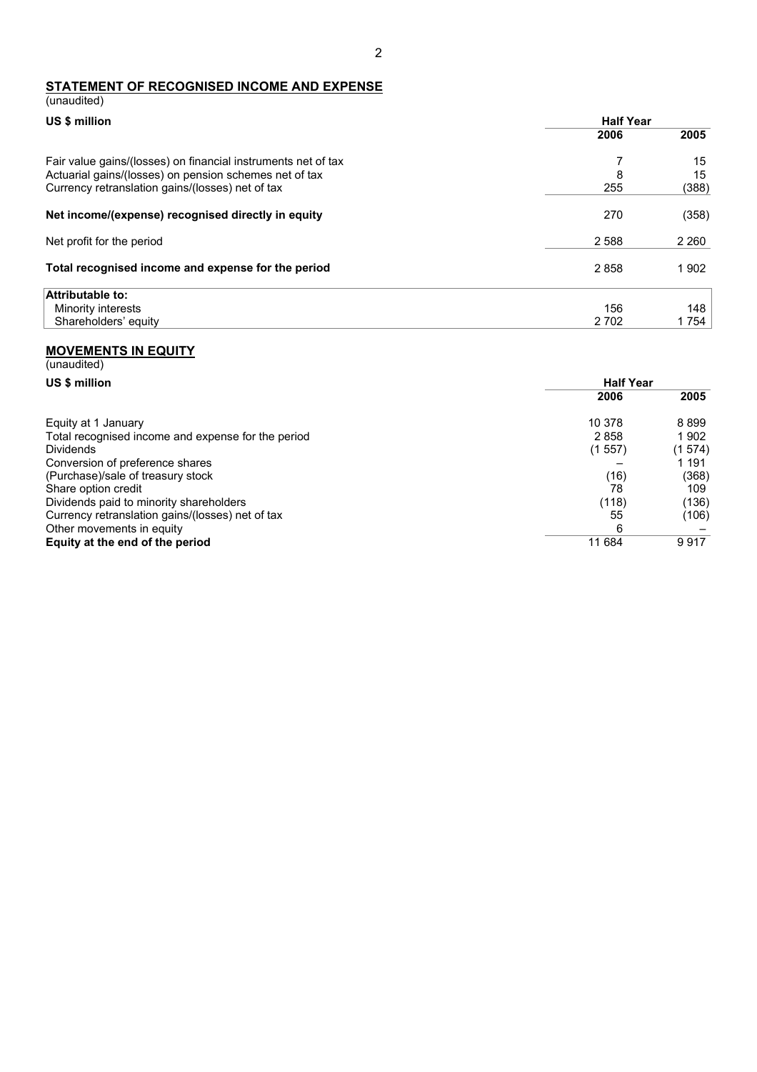# **STATEMENT OF RECOGNISED INCOME AND EXPENSE**

| (unaudited)                                                                                                             |                  |          |
|-------------------------------------------------------------------------------------------------------------------------|------------------|----------|
| US \$ million                                                                                                           | <b>Half Year</b> |          |
|                                                                                                                         | 2006             | 2005     |
| Fair value gains/(losses) on financial instruments net of tax<br>Actuarial gains/(losses) on pension schemes net of tax | 7<br>8           | 15<br>15 |
| Currency retranslation gains/(losses) net of tax                                                                        | 255              | (388)    |
| Net income/(expense) recognised directly in equity                                                                      | 270              | (358)    |
| Net profit for the period                                                                                               | 2 5 8 8          | 2 2 6 0  |
| Total recognised income and expense for the period                                                                      | 2858             | 1902     |
| Attributable to:                                                                                                        |                  |          |
| Minority interests                                                                                                      | 156              | 148      |
| Shareholders' equity                                                                                                    | 2 7 0 2          | 1 754    |

#### **MOVEMENTS IN EQUITY**

| (unaudited)                                        |                  |        |  |
|----------------------------------------------------|------------------|--------|--|
| US \$ million                                      | <b>Half Year</b> |        |  |
|                                                    | 2006             | 2005   |  |
| Equity at 1 January                                | 10 378           | 8899   |  |
| Total recognised income and expense for the period | 2858             | 1902   |  |
| <b>Dividends</b>                                   | (1557)           | (1574) |  |
| Conversion of preference shares                    |                  | 1 191  |  |
| (Purchase)/sale of treasury stock                  | (16)             | (368)  |  |
| Share option credit                                | 78               | 109    |  |
| Dividends paid to minority shareholders            | (118)            | (136)  |  |
| Currency retranslation gains/(losses) net of tax   | 55               | (106)  |  |
| Other movements in equity                          | 6                |        |  |
| Equity at the end of the period                    | 11 684           | 9917   |  |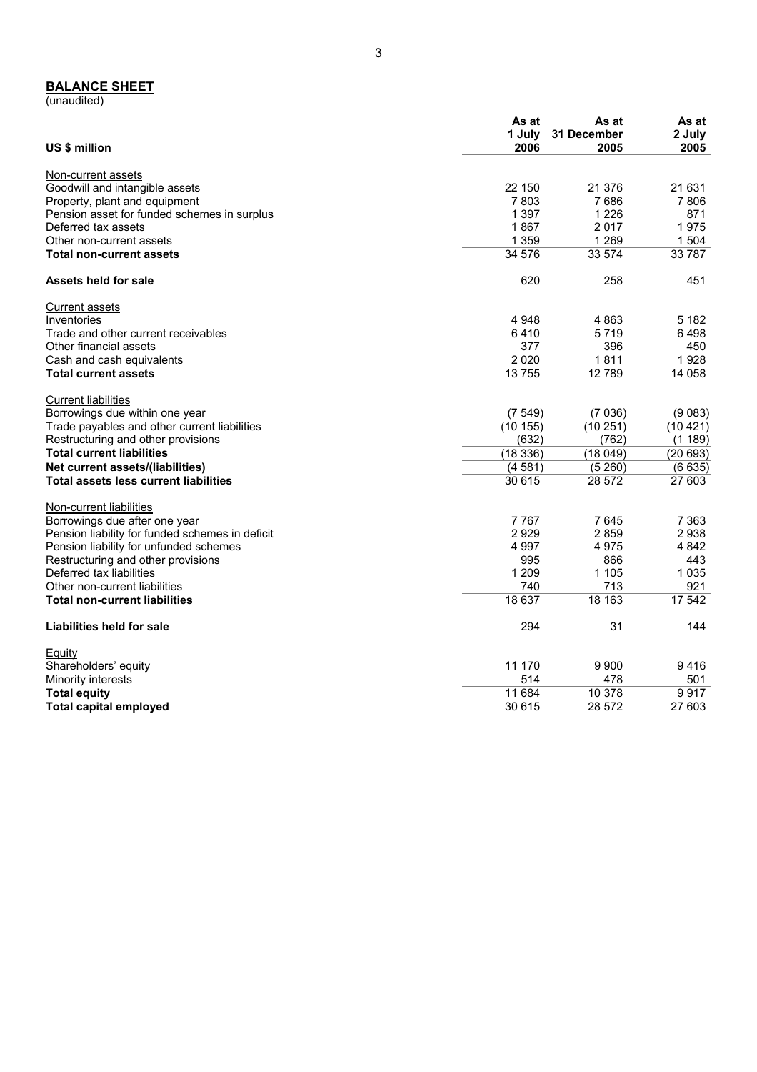#### **BALANCE SHEET**

(unaudited)

| US \$ million                                   | As at<br>1 July<br>2006 | As at<br>31 December<br>2005 | As at<br>2 July<br>2005 |
|-------------------------------------------------|-------------------------|------------------------------|-------------------------|
| Non-current assets                              |                         |                              |                         |
| Goodwill and intangible assets                  | 22 150                  | 21 376                       | 21 631                  |
| Property, plant and equipment                   | 7803                    | 7686                         | 7 8 0 6                 |
| Pension asset for funded schemes in surplus     | 1 3 9 7                 | 1 2 2 6                      | 871                     |
| Deferred tax assets                             | 1867                    | 2 0 1 7                      | 1975                    |
| Other non-current assets                        | 1 3 5 9                 | 1 2 6 9                      | 1 504                   |
| <b>Total non-current assets</b>                 | 34 576                  | 33 574                       | 33 7 8 7                |
| Assets held for sale                            | 620                     | 258                          | 451                     |
| <b>Current assets</b>                           |                         |                              |                         |
| Inventories                                     | 4 9 4 8                 | 4863                         | 5 182                   |
| Trade and other current receivables             | 6410                    | 5719                         | 6498                    |
| Other financial assets                          | 377                     | 396                          | 450                     |
| Cash and cash equivalents                       | 2 0 2 0                 | 1811                         | 1928                    |
| <b>Total current assets</b>                     | 13755                   | 12789                        | 14 058                  |
| <b>Current liabilities</b>                      |                         |                              |                         |
| Borrowings due within one year                  | (7549)                  | (7036)                       | (9083)                  |
| Trade payables and other current liabilities    | (10155)                 | (10251)                      | (10421)                 |
| Restructuring and other provisions              | (632)                   | (762)                        | (1189)                  |
| <b>Total current liabilities</b>                | (18336)                 | (18049)                      | (20693)                 |
| Net current assets/(liabilities)                | (4581)                  | (5260)                       | (6635)                  |
| <b>Total assets less current liabilities</b>    | 30 615                  | 28 572                       | 27 603                  |
| Non-current liabilities                         |                         |                              |                         |
| Borrowings due after one year                   | 7767                    | 7645                         | 7 3 6 3                 |
| Pension liability for funded schemes in deficit | 2929                    | 2859                         | 2938                    |
| Pension liability for unfunded schemes          | 4 9 9 7                 | 4975                         | 4842                    |
| Restructuring and other provisions              | 995                     | 866                          | 443                     |
| Deferred tax liabilities                        | 1 2 0 9                 | 1 1 0 5                      | 1 0 3 5                 |
| Other non-current liabilities                   | 740                     | 713                          | 921                     |
| <b>Total non-current liabilities</b>            | 18 637                  | 18 163                       | 17 542                  |
| Liabilities held for sale                       | 294                     | 31                           | 144                     |
| Equity                                          |                         |                              |                         |
| Shareholders' equity                            | 11 170                  | 9 9 0 0                      | 9416                    |
| Minority interests                              | 514                     | 478                          | 501                     |
| <b>Total equity</b>                             | 11 684                  | 10 378                       | 9917                    |
| <b>Total capital employed</b>                   | 30 615                  | 28 572                       | 27 603                  |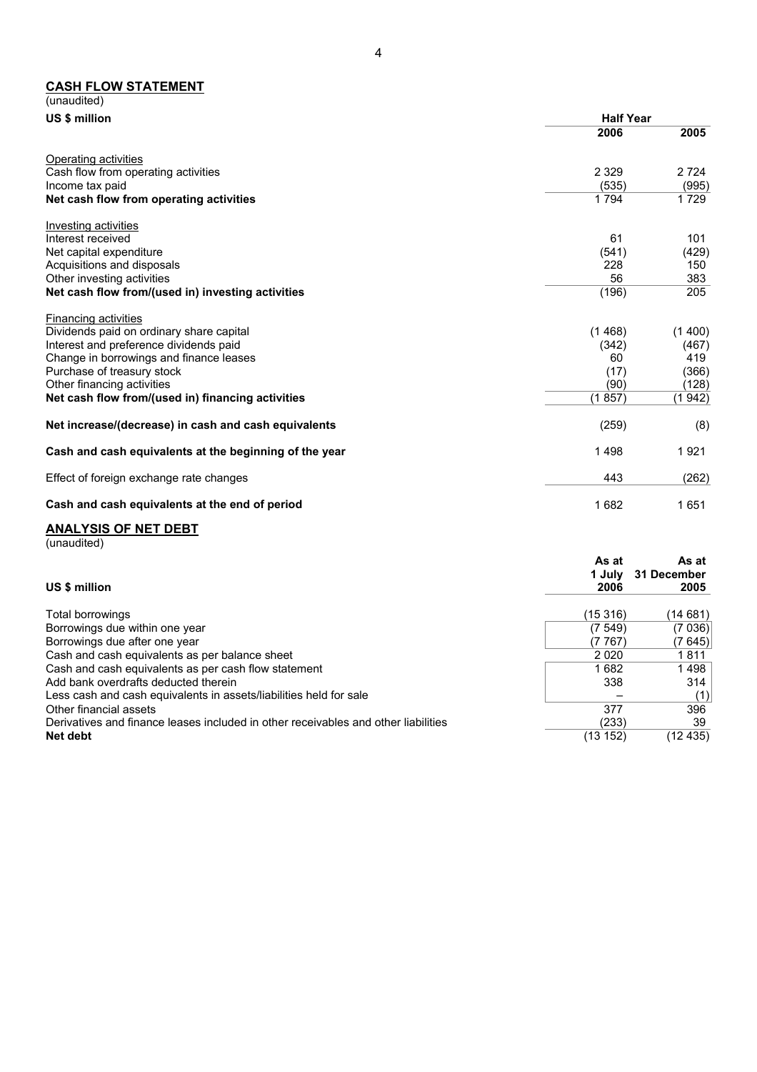#### **CASH FLOW STATEMENT**

| (unaudited)                                            |                  |         |
|--------------------------------------------------------|------------------|---------|
| US \$ million                                          | <b>Half Year</b> |         |
|                                                        | 2006             | 2005    |
| Operating activities                                   |                  |         |
| Cash flow from operating activities                    | 2 3 2 9          | 2 7 2 4 |
| Income tax paid                                        | (535)            | (995)   |
| Net cash flow from operating activities                | 1 7 9 4          | 1 7 2 9 |
| Investing activities                                   |                  |         |
| Interest received                                      | 61               | 101     |
| Net capital expenditure                                | (541)            | (429)   |
| Acquisitions and disposals                             | 228              | 150     |
| Other investing activities                             | 56               | 383     |
| Net cash flow from/(used in) investing activities      | (196)            | 205     |
| Financing activities                                   |                  |         |
| Dividends paid on ordinary share capital               | (1468)           | (1400)  |
| Interest and preference dividends paid                 | (342)            | (467)   |
| Change in borrowings and finance leases                | 60               | 419     |
| Purchase of treasury stock                             | (17)             | (366)   |
| Other financing activities                             | (90)             | (128)   |
| Net cash flow from/(used in) financing activities      | (1857)           | (1 942) |
| Net increase/(decrease) in cash and cash equivalents   | (259)            | (8)     |
| Cash and cash equivalents at the beginning of the year | 1498             | 1921    |
| Effect of foreign exchange rate changes                | 443              | (262)   |
| Cash and cash equivalents at the end of period         | 1682             | 1651    |
|                                                        |                  |         |

## **ANALYSIS OF NET DEBT**

|  | (unaudited) |
|--|-------------|
|  |             |

| US \$ million                                                                      | As at<br>1 July<br>2006 | As at<br>31 December<br>2005 |
|------------------------------------------------------------------------------------|-------------------------|------------------------------|
| Total borrowings                                                                   | (15 316)                | (14 681)                     |
| Borrowings due within one year                                                     | (7, 549)                | (7 036)                      |
| Borrowings due after one year                                                      | (7 767)                 | (7 645)                      |
| Cash and cash equivalents as per balance sheet                                     | 2020                    | 1811                         |
| Cash and cash equivalents as per cash flow statement                               | 1682                    | 1498                         |
| Add bank overdrafts deducted therein                                               | 338                     | 314                          |
| Less cash and cash equivalents in assets/liabilities held for sale                 |                         | (1)                          |
| Other financial assets                                                             | 377                     | 396                          |
| Derivatives and finance leases included in other receivables and other liabilities | (233)                   | 39                           |
| Net debt                                                                           | (13 152)                | (12 435)                     |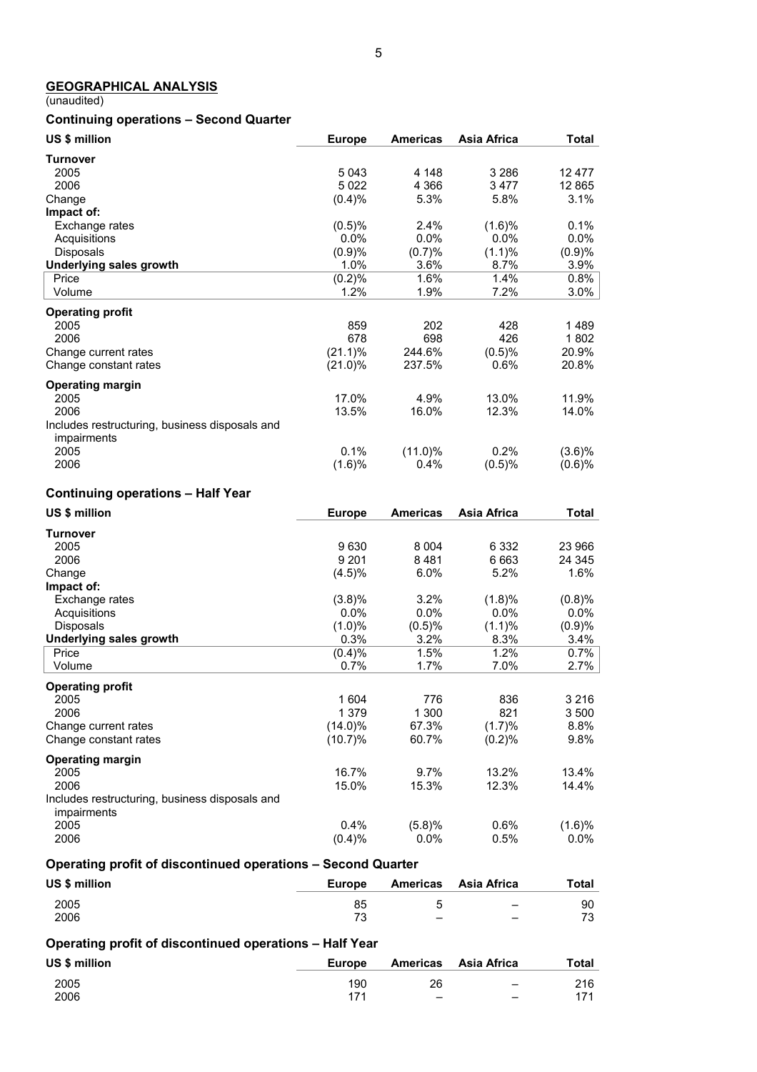### **GEOGRAPHICAL ANALYSIS**

(unaudited)

## **Continuing operations – Second Quarter**

| US \$ million                                                 | <b>Europe</b>    | <b>Americas</b> | Asia Africa        | <b>Total</b>     |
|---------------------------------------------------------------|------------------|-----------------|--------------------|------------------|
| <b>Turnover</b>                                               |                  |                 |                    |                  |
| 2005                                                          | 5043             | 4 1 4 8         | 3 2 8 6            | 12 477           |
| 2006                                                          | 5 0 2 2          | 4 3 6 6         | 3477               | 12 8 65          |
| Change<br>Impact of:                                          | (0.4)%           | 5.3%            | 5.8%               | 3.1%             |
| Exchange rates                                                | (0.5)%           | 2.4%            | (1.6)%             | 0.1%             |
| Acquisitions                                                  | 0.0%             | 0.0%            | 0.0%               | 0.0%             |
| Disposals                                                     | (0.9)%           | (0.7)%          | (1.1)%             | (0.9)%           |
| <b>Underlying sales growth</b>                                | 1.0%             | 3.6%            | 8.7%               | 3.9%             |
| Price<br>Volume                                               | (0.2)%<br>1.2%   | 1.6%<br>1.9%    | 1.4%<br>7.2%       | 0.8%<br>$3.0\%$  |
|                                                               |                  |                 |                    |                  |
| <b>Operating profit</b>                                       |                  |                 | 428                |                  |
| 2005<br>2006                                                  | 859<br>678       | 202<br>698      | 426                | 1489<br>1802     |
| Change current rates                                          | $(21.1)\%$       | 244.6%          | (0.5)%             | 20.9%            |
| Change constant rates                                         | $(21.0)\%$       | 237.5%          | 0.6%               | 20.8%            |
| <b>Operating margin</b>                                       |                  |                 |                    |                  |
| 2005                                                          | 17.0%            | 4.9%            | 13.0%              | 11.9%            |
| 2006                                                          | 13.5%            | 16.0%           | 12.3%              | 14.0%            |
| Includes restructuring, business disposals and<br>impairments |                  |                 |                    |                  |
| 2005                                                          | 0.1%             | $(11.0)\%$      | 0.2%               | $(3.6)\%$        |
| 2006                                                          | (1.6)%           | 0.4%            | (0.5)%             | (0.6)%           |
| <b>Continuing operations - Half Year</b>                      |                  |                 |                    |                  |
| US \$ million                                                 | <b>Europe</b>    | <b>Americas</b> | <b>Asia Africa</b> | <b>Total</b>     |
| <b>Turnover</b>                                               |                  |                 |                    |                  |
| 2005                                                          | 9630             | 8 0 0 4         | 6 3 3 2            | 23 966           |
| 2006                                                          | 9 2 0 1          | 8481            | 6 6 6 3            | 24 345           |
| Change<br>Impact of:                                          | $(4.5)\%$        | 6.0%            | 5.2%               | 1.6%             |
| Exchange rates                                                | (3.8)%           | 3.2%            | (1.8)%             | (0.8)%           |
| Acquisitions                                                  | $0.0\%$          | 0.0%            | 0.0%               | $0.0\%$          |
| Disposals                                                     | (1.0)%           | (0.5)%          | (1.1)%             | (0.9)%           |
| <b>Underlying sales growth</b>                                | 0.3%             | 3.2%            | 8.3%               | 3.4%             |
| Price<br>Volume                                               | (0.4)%<br>0.7%   | 1.5%<br>1.7%    | 1.2%<br>7.0%       | 0.7%<br>$2.7\%$  |
|                                                               |                  |                 |                    |                  |
| <b>Operating profit</b>                                       |                  |                 | 836                |                  |
| 2005<br>2006                                                  | 1 604<br>1 3 7 9 | 776<br>1 300    | 821                | 3 2 1 6<br>3 500 |
| Change current rates                                          | $(14.0)\%$       | 67.3%           | (1.7)%             | 8.8%             |
| Change constant rates                                         | (10.7)%          | 60.7%           | (0.2)%             | 9.8%             |
| <b>Operating margin</b>                                       |                  |                 |                    |                  |
| 2005                                                          | 16.7%            | 9.7%            | 13.2%              | 13.4%            |
| 2006                                                          | 15.0%            | 15.3%           | 12.3%              | 14.4%            |
| Includes restructuring, business disposals and                |                  |                 |                    |                  |
| impairments<br>2005                                           | 0.4%             | (5.8)%          | 0.6%               | $(1.6)\%$        |
| 2006                                                          | (0.4)%           | $0.0\%$         | 0.5%               | $0.0\%$          |
|                                                               |                  |                 |                    |                  |

## **Operating profit of discontinued operations – Second Quarter**

| US \$ million | <b>Europe</b>            | Americas Asia Africa     | Total |
|---------------|--------------------------|--------------------------|-------|
| 2005          | 85                       | $\overline{\phantom{a}}$ | 90    |
| 2006          | $\overline{\phantom{a}}$ |                          | 73    |

### **Operating profit of discontinued operations – Half Year**

| US \$ million | <b>Europe</b> |                              | Americas Asia Africa     | Total |
|---------------|---------------|------------------------------|--------------------------|-------|
| 2005          | 190           | 26                           | $\overline{\phantom{m}}$ | 216   |
| 2006          | 171           | $\qquad \qquad \blacksquare$ | $\overline{\phantom{a}}$ | 171   |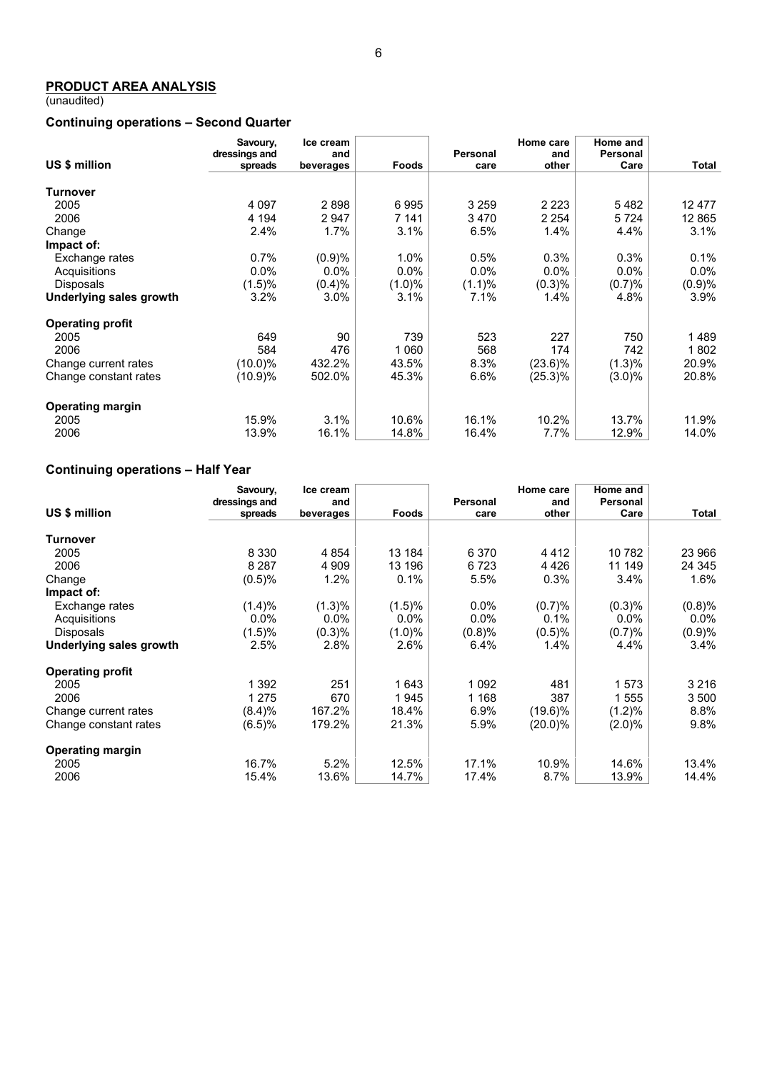(unaudited)

### **Continuing operations – Second Quarter**

|                                | Savoury,<br>dressings and | Ice cream<br>and |           | <b>Personal</b> | Home care<br>and | Home and<br>Personal |         |
|--------------------------------|---------------------------|------------------|-----------|-----------------|------------------|----------------------|---------|
| US \$ million                  | spreads                   | beverages        | Foods     | care            | other            | Care                 | Total   |
|                                |                           |                  |           |                 |                  |                      |         |
| <b>Turnover</b>                |                           |                  |           |                 |                  |                      |         |
| 2005                           | 4 0 9 7                   | 2898             | 6995      | 3 2 5 9         | 2 2 2 3          | 5482                 | 12477   |
| 2006                           | 4 1 9 4                   | 2947             | 7 141     | 3470            | 2 2 5 4          | 5 7 2 4              | 12 865  |
| Change                         | 2.4%                      | 1.7%             | 3.1%      | 6.5%            | 1.4%             | 4.4%                 | 3.1%    |
| Impact of:                     |                           |                  |           |                 |                  |                      |         |
| Exchange rates                 | 0.7%                      | (0.9)%           | 1.0%      | 0.5%            | 0.3%             | 0.3%                 | 0.1%    |
| Acquisitions                   | 0.0%                      | 0.0%             | $0.0\%$   | $0.0\%$         | $0.0\%$          | $0.0\%$              | $0.0\%$ |
| <b>Disposals</b>               | (1.5)%                    | (0.4)%           | $(1.0)\%$ | $(1.1)\%$       | (0.3)%           | (0.7)%               | (0.9)%  |
| <b>Underlying sales growth</b> | 3.2%                      | 3.0%             | 3.1%      | 7.1%            | 1.4%             | 4.8%                 | 3.9%    |
| <b>Operating profit</b>        |                           |                  |           |                 |                  |                      |         |
| 2005                           | 649                       | 90               | 739       | 523             | 227              | 750                  | 1 489   |
| 2006                           | 584                       | 476              | 1 0 6 0   | 568             | 174              | 742                  | 1802    |
| Change current rates           | $(10.0)\%$                | 432.2%           | 43.5%     | 8.3%            | $(23.6)\%$       | (1.3)%               | 20.9%   |
| Change constant rates          | (10.9)%                   | 502.0%           | 45.3%     | 6.6%            | (25.3)%          | $(3.0)\%$            | 20.8%   |
| <b>Operating margin</b>        |                           |                  |           |                 |                  |                      |         |
| 2005                           | 15.9%                     | 3.1%             | 10.6%     | 16.1%           | 10.2%            | 13.7%                | 11.9%   |
| 2006                           | 13.9%                     | 16.1%            | 14.8%     | 16.4%           | $7.7\%$          | 12.9%                | 14.0%   |

# **Continuing operations – Half Year**

|                         | Savoury,      | Ice cream |           |          | Home care  | Home and  |         |
|-------------------------|---------------|-----------|-----------|----------|------------|-----------|---------|
| US \$ million           | dressings and | and       |           | Personal | and        | Personal  |         |
|                         | spreads       | beverages | Foods     | care     | other      | Care      | Total   |
| <b>Turnover</b>         |               |           |           |          |            |           |         |
| 2005                    | 8 3 3 0       | 4 8 5 4   | 13 184    | 6 3 7 0  | 4412       | 10 782    | 23 966  |
| 2006                    | 8 2 8 7       | 4 9 0 9   | 13 196    | 6 7 2 3  | 4 4 2 6    | 11 149    | 24 345  |
| Change                  | (0.5)%        | 1.2%      | 0.1%      | 5.5%     | 0.3%       | 3.4%      | $1.6\%$ |
| Impact of:              |               |           |           |          |            |           |         |
| Exchange rates          | (1.4)%        | (1.3)%    | (1.5)%    | $0.0\%$  | (0.7)%     | (0.3)%    | (0.8)%  |
| Acquisitions            | $0.0\%$       | $0.0\%$   | $0.0\%$   | $0.0\%$  | 0.1%       | $0.0\%$   | $0.0\%$ |
| <b>Disposals</b>        | (1.5)%        | (0.3)%    | $(1.0)\%$ | (0.8)%   | (0.5)%     | (0.7)%    | (0.9)%  |
| Underlying sales growth | 2.5%          | 2.8%      | 2.6%      | 6.4%     | 1.4%       | 4.4%      | $3.4\%$ |
| <b>Operating profit</b> |               |           |           |          |            |           |         |
| 2005                    | 1 392         | 251       | 1 643     | 1 0 9 2  | 481        | 1573      | 3 2 1 6 |
| 2006                    | 1 275         | 670       | 1945      | 1 1 6 8  | 387        | 1555      | 3 500   |
| Change current rates    | (8.4)%        | 167.2%    | 18.4%     | 6.9%     | $(19.6)\%$ | (1.2)%    | 8.8%    |
| Change constant rates   | (6.5)%        | 179.2%    | 21.3%     | 5.9%     | $(20.0)\%$ | $(2.0)\%$ | 9.8%    |
| <b>Operating margin</b> |               |           |           |          |            |           |         |
| 2005                    | 16.7%         | 5.2%      | 12.5%     | 17.1%    | 10.9%      | 14.6%     | 13.4%   |
| 2006                    | 15.4%         | 13.6%     | 14.7%     | 17.4%    | 8.7%       | 13.9%     | 14.4%   |